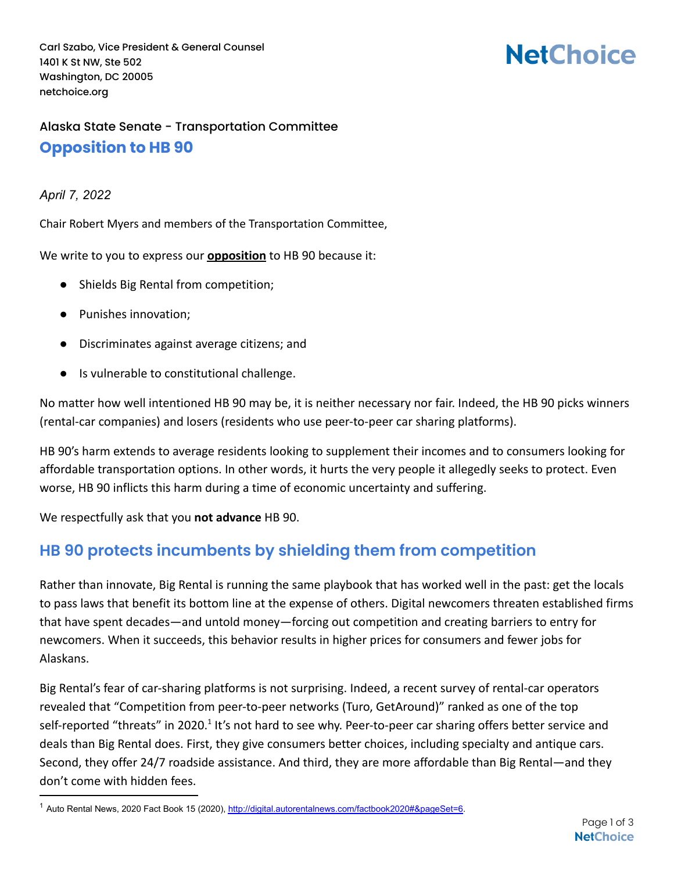Carl Szabo, Vice President & General Counsel 1401 K St NW, Ste 502 Washington, DC 20005 netchoice.org

# **NetChoice**

#### Alaska State Senate - Transportation Committee **Opposition to HB 90**

#### *April 7, 2022*

Chair Robert Myers and members of the Transportation Committee,

We write to you to express our **opposition** to HB 90 because it:

- Shields Big Rental from competition;
- Punishes innovation;
- Discriminates against average citizens; and
- Is vulnerable to constitutional challenge.

No matter how well intentioned HB 90 may be, it is neither necessary nor fair. Indeed, the HB 90 picks winners (rental-car companies) and losers (residents who use peer-to-peer car sharing platforms).

HB 90's harm extends to average residents looking to supplement their incomes and to consumers looking for affordable transportation options. In other words, it hurts the very people it allegedly seeks to protect. Even worse, HB 90 inflicts this harm during a time of economic uncertainty and suffering.

We respectfully ask that you **not advance** HB 90.

### **HB 90 protects incumbents by shielding them from competition**

Rather than innovate, Big Rental is running the same playbook that has worked well in the past: get the locals to pass laws that benefit its bottom line at the expense of others. Digital newcomers threaten established firms that have spent decades—and untold money—forcing out competition and creating barriers to entry for newcomers. When it succeeds, this behavior results in higher prices for consumers and fewer jobs for Alaskans.

Big Rental's fear of car-sharing platforms is not surprising. Indeed, a recent survey of rental-car operators revealed that "Competition from peer-to-peer networks (Turo, GetAround)" ranked as one of the top self-reported "threats" in 2020.<sup>1</sup> It's not hard to see why. Peer-to-peer car sharing offers better service and deals than Big Rental does. First, they give consumers better choices, including specialty and antique cars. Second, they offer 24/7 roadside assistance. And third, they are more affordable than Big Rental—and they don't come with hidden fees.

<sup>&</sup>lt;sup>1</sup> Auto Rental News, 2020 Fact Book 15 (2020), [http://digital.autorentalnews.com/factbook2020#&pageSet=6.](http://digital.autorentalnews.com/factbook2020#&pageSet=6)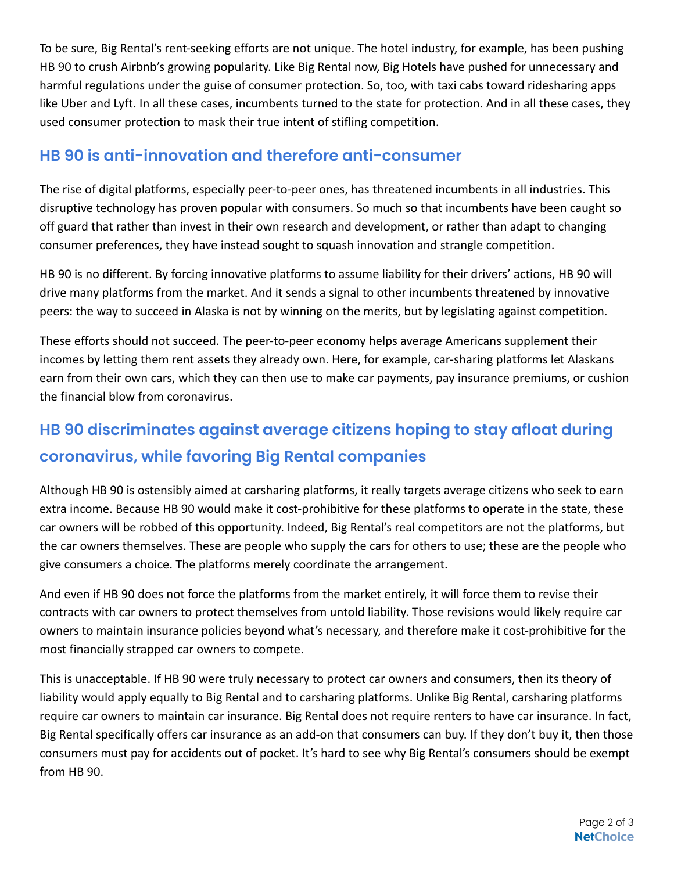To be sure, Big Rental's rent-seeking efforts are not unique. The hotel industry, for example, has been pushing HB 90 to crush Airbnb's growing popularity. Like Big Rental now, Big Hotels have pushed for unnecessary and harmful regulations under the guise of consumer protection. So, too, with taxi cabs toward ridesharing apps like Uber and Lyft. In all these cases, incumbents turned to the state for protection. And in all these cases, they used consumer protection to mask their true intent of stifling competition.

#### **HB 90 is anti-innovation and therefore anti-consumer**

The rise of digital platforms, especially peer-to-peer ones, has threatened incumbents in all industries. This disruptive technology has proven popular with consumers. So much so that incumbents have been caught so off guard that rather than invest in their own research and development, or rather than adapt to changing consumer preferences, they have instead sought to squash innovation and strangle competition.

HB 90 is no different. By forcing innovative platforms to assume liability for their drivers' actions, HB 90 will drive many platforms from the market. And it sends a signal to other incumbents threatened by innovative peers: the way to succeed in Alaska is not by winning on the merits, but by legislating against competition.

These efforts should not succeed. The peer-to-peer economy helps average Americans supplement their incomes by letting them rent assets they already own. Here, for example, car-sharing platforms let Alaskans earn from their own cars, which they can then use to make car payments, pay insurance premiums, or cushion the financial blow from coronavirus.

## **HB 90 discriminates against average citizens hoping to stay afloat during coronavirus, while favoring Big Rental companies**

Although HB 90 is ostensibly aimed at carsharing platforms, it really targets average citizens who seek to earn extra income. Because HB 90 would make it cost-prohibitive for these platforms to operate in the state, these car owners will be robbed of this opportunity. Indeed, Big Rental's real competitors are not the platforms, but the car owners themselves. These are people who supply the cars for others to use; these are the people who give consumers a choice. The platforms merely coordinate the arrangement.

And even if HB 90 does not force the platforms from the market entirely, it will force them to revise their contracts with car owners to protect themselves from untold liability. Those revisions would likely require car owners to maintain insurance policies beyond what's necessary, and therefore make it cost-prohibitive for the most financially strapped car owners to compete.

This is unacceptable. If HB 90 were truly necessary to protect car owners and consumers, then its theory of liability would apply equally to Big Rental and to carsharing platforms. Unlike Big Rental, carsharing platforms require car owners to maintain car insurance. Big Rental does not require renters to have car insurance. In fact, Big Rental specifically offers car insurance as an add-on that consumers can buy. If they don't buy it, then those consumers must pay for accidents out of pocket. It's hard to see why Big Rental's consumers should be exempt from HB 90.